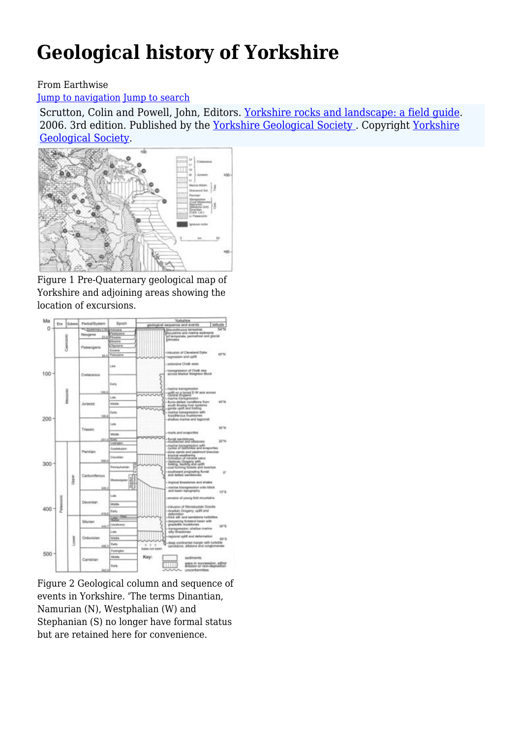# **Geological history of Yorkshire**

#### From Earthwise

#### [Jump to navigation](#page--1-0) [Jump to search](#page--1-0)

Scrutton, Colin and Powell, John, Editors. Yorkshire rocks and landscape: a field quide. 2006. 3rd edition. Published by the [Yorkshire Geological Society .](http://earthwise.bgs.ac.uk/index.php/Category:Yorkshire_Geological_Society) Copyright [Yorkshire](https://www.yorksgeolsoc.org.uk) [Geological Society](https://www.yorksgeolsoc.org.uk).



Figure 1 Pre-Quaternary geological map of Yorkshire and adjoining areas showing the location of excursions.



Figure 2 Geological column and sequence of events in Yorkshire. 'The terms Dinantian, Namurian (N), Westphalian (W) and Stephanian (S) no longer have formal status but are retained here for convenience.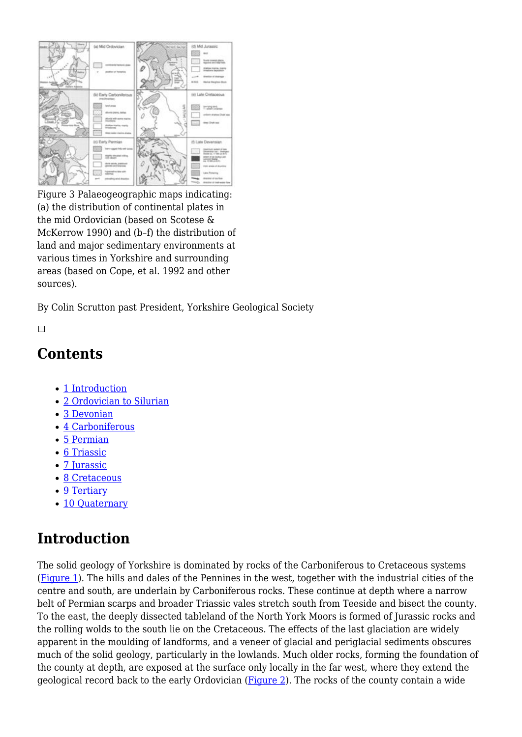

Figure 3 Palaeogeographic maps indicating: (a) the distribution of continental plates in the mid Ordovician (based on Scotese & McKerrow 1990) and (b–f) the distribution of land and major sedimentary environments at various times in Yorkshire and surrounding areas (based on Cope, et al. 1992 and other sources).

By Colin Scrutton past President, Yorkshire Geological Society

 $\Box$ 

#### **Contents**

- [1](#page--1-0) [Introduction](#page--1-0)
- [2](#page--1-0) [Ordovician to Silurian](#page--1-0)
- [3](#page--1-0) [Devonian](#page--1-0)
- [4](#page--1-0) [Carboniferous](#page--1-0)
- [5](#page--1-0) [Permian](#page--1-0)
- [6](#page--1-0) [Triassic](#page--1-0)
- [7](#page--1-0) [Jurassic](#page--1-0)
- [8](#page--1-0) [Cretaceous](#page--1-0)
- [9](#page--1-0) [Tertiary](#page--1-0)
- [10](#page--1-0) [Quaternary](#page--1-0)

## **Introduction**

The solid geology of Yorkshire is dominated by rocks of the Carboniferous to Cretaceous systems [\(Figure 1](http://earthwise.bgs.ac.uk/index.php/File:YGS_YORKROCK_FIG_01_00.jpg)). The hills and dales of the Pennines in the west, together with the industrial cities of the centre and south, are underlain by Carboniferous rocks. These continue at depth where a narrow belt of Permian scarps and broader Triassic vales stretch south from Teeside and bisect the county. To the east, the deeply dissected tableland of the North York Moors is formed of Jurassic rocks and the rolling wolds to the south lie on the Cretaceous. The effects of the last glaciation are widely apparent in the moulding of landforms, and a veneer of glacial and periglacial sediments obscures much of the solid geology, particularly in the lowlands. Much older rocks, forming the foundation of the county at depth, are exposed at the surface only locally in the far west, where they extend the geological record back to the early Ordovician ([Figure 2\)](http://earthwise.bgs.ac.uk/index.php/File:YGS_YORKROCK_FIG_02_00.jpg). The rocks of the county contain a wide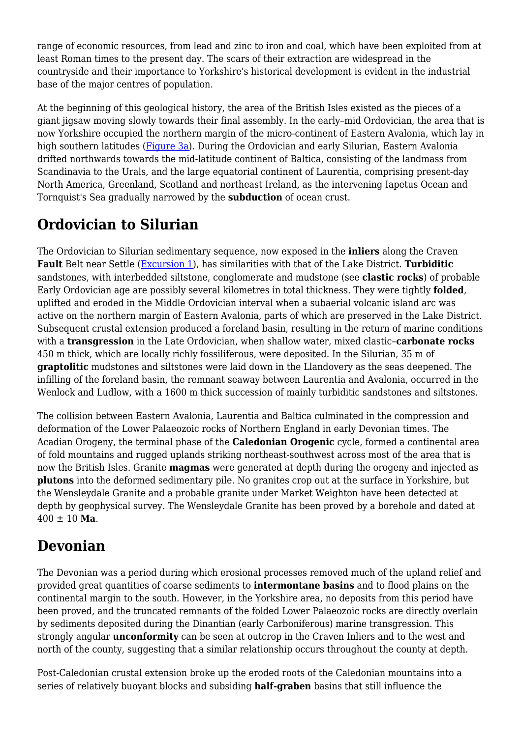range of economic resources, from lead and zinc to iron and coal, which have been exploited from at least Roman times to the present day. The scars of their extraction are widespread in the countryside and their importance to Yorkshire's historical development is evident in the industrial base of the major centres of population.

At the beginning of this geological history, the area of the British Isles existed as the pieces of a giant jigsaw moving slowly towards their final assembly. In the early–mid Ordovician, the area that is now Yorkshire occupied the northern margin of the micro-continent of Eastern Avalonia, which lay in high southern latitudes ([Figure 3a](http://earthwise.bgs.ac.uk/index.php/File:YGS_YORKROCK_FIG_03_00.jpg)). During the Ordovician and early Silurian, Eastern Avalonia drifted northwards towards the mid-latitude continent of Baltica, consisting of the landmass from Scandinavia to the Urals, and the large equatorial continent of Laurentia, comprising present-day North America, Greenland, Scotland and northeast Ireland, as the intervening Iapetus Ocean and Tornquist's Sea gradually narrowed by the **subduction** of ocean crust.

## **Ordovician to Silurian**

The Ordovician to Silurian sedimentary sequence, now exposed in the **inliers** along the Craven **Fault** Belt near Settle ([Excursion 1](http://earthwise.bgs.ac.uk/index.php/Lower_Palaeozoic_rocks_of_the_Craven_Inliers_-_an_excursion)), has similarities with that of the Lake District. **Turbiditic** sandstones, with interbedded siltstone, conglomerate and mudstone (see **clastic rocks**) of probable Early Ordovician age are possibly several kilometres in total thickness. They were tightly **folded**, uplifted and eroded in the Middle Ordovician interval when a subaerial volcanic island arc was active on the northern margin of Eastern Avalonia, parts of which are preserved in the Lake District. Subsequent crustal extension produced a foreland basin, resulting in the return of marine conditions with a **transgression** in the Late Ordovician, when shallow water, mixed clastic–**carbonate rocks** 450 m thick, which are locally richly fossiliferous, were deposited. In the Silurian, 35 m of **graptolitic** mudstones and siltstones were laid down in the Llandovery as the seas deepened. The infilling of the foreland basin, the remnant seaway between Laurentia and Avalonia, occurred in the Wenlock and Ludlow, with a 1600 m thick succession of mainly turbiditic sandstones and siltstones.

The collision between Eastern Avalonia, Laurentia and Baltica culminated in the compression and deformation of the Lower Palaeozoic rocks of Northern England in early Devonian times. The Acadian Orogeny, the terminal phase of the **Caledonian Orogenic** cycle, formed a continental area of fold mountains and rugged uplands striking northeast-southwest across most of the area that is now the British Isles. Granite **magmas** were generated at depth during the orogeny and injected as **plutons** into the deformed sedimentary pile. No granites crop out at the surface in Yorkshire, but the Wensleydale Granite and a probable granite under Market Weighton have been detected at depth by geophysical survey. The Wensleydale Granite has been proved by a borehole and dated at 400 ± 10 **Ma**.

## **Devonian**

The Devonian was a period during which erosional processes removed much of the upland relief and provided great quantities of coarse sediments to **intermontane basins** and to flood plains on the continental margin to the south. However, in the Yorkshire area, no deposits from this period have been proved, and the truncated remnants of the folded Lower Palaeozoic rocks are directly overlain by sediments deposited during the Dinantian (early Carboniferous) marine transgression. This strongly angular **unconformity** can be seen at outcrop in the Craven Inliers and to the west and north of the county, suggesting that a similar relationship occurs throughout the county at depth.

Post-Caledonian crustal extension broke up the eroded roots of the Caledonian mountains into a series of relatively buoyant blocks and subsiding **half-graben** basins that still influence the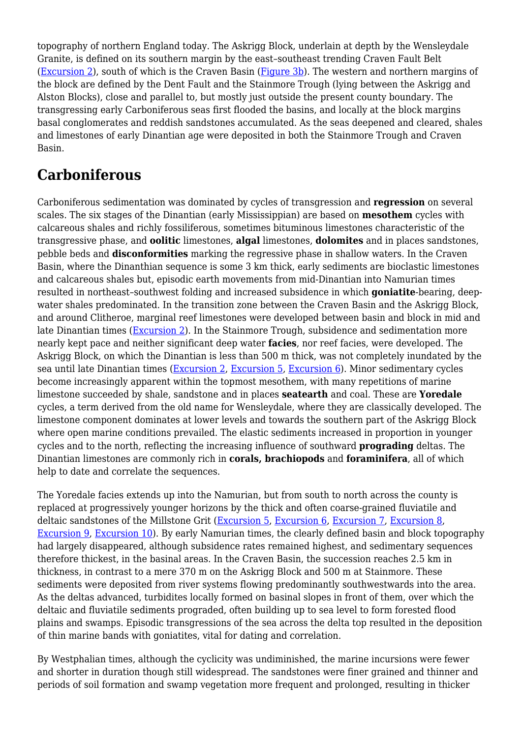topography of northern England today. The Askrigg Block, underlain at depth by the Wensleydale Granite, is defined on its southern margin by the east–southeast trending Craven Fault Belt [\(Excursion 2\)](http://earthwise.bgs.ac.uk/index.php/Craven_Fault_Zone_%E2%80%94_Malham_to_Settle_-_an_excursion), south of which is the Craven Basin [\(Figure 3b\)](http://earthwise.bgs.ac.uk/index.php/File:YGS_YORKROCK_FIG_03_00.jpg). The western and northern margins of the block are defined by the Dent Fault and the Stainmore Trough (lying between the Askrigg and Alston Blocks), close and parallel to, but mostly just outside the present county boundary. The transgressing early Carboniferous seas first flooded the basins, and locally at the block margins basal conglomerates and reddish sandstones accumulated. As the seas deepened and cleared, shales and limestones of early Dinantian age were deposited in both the Stainmore Trough and Craven Basin.

## **Carboniferous**

Carboniferous sedimentation was dominated by cycles of transgression and **regression** on several scales. The six stages of the Dinantian (early Mississippian) are based on **mesothem** cycles with calcareous shales and richly fossiliferous, sometimes bituminous limestones characteristic of the transgressive phase, and **oolitic** limestones, **algal** limestones, **dolomites** and in places sandstones, pebble beds and **disconformities** marking the regressive phase in shallow waters. In the Craven Basin, where the Dinanthian sequence is some 3 km thick, early sediments are bioclastic limestones and calcareous shales but, episodic earth movements from mid-Dinantian into Namurian times resulted in northeast–southwest folding and increased subsidence in which **goniatite**-bearing, deepwater shales predominated. In the transition zone between the Craven Basin and the Askrigg Block, and around Clitheroe, marginal reef limestones were developed between basin and block in mid and late Dinantian times [\(Excursion 2\)](http://earthwise.bgs.ac.uk/index.php/Craven_Fault_Zone_%E2%80%94_Malham_to_Settle_-_an_excursion). In the Stainmore Trough, subsidence and sedimentation more nearly kept pace and neither significant deep water **facies**, nor reef facies, were developed. The Askrigg Block, on which the Dinantian is less than 500 m thick, was not completely inundated by the sea until late Dinantian times [\(Excursion 2,](http://earthwise.bgs.ac.uk/index.php/Craven_Fault_Zone_%E2%80%94_Malham_to_Settle_-_an_excursion) [Excursion 5,](http://earthwise.bgs.ac.uk/index.php/Carboniferous_rocks_of_upper_Nidderdale_-_an_excursion) [Excursion 6\)](http://earthwise.bgs.ac.uk/index.php/Dinantian_and_Namurian_rocks_of_Bolton_Abbey_and_Trollers_Gill_-_an_excursion). Minor sedimentary cycles become increasingly apparent within the topmost mesothem, with many repetitions of marine limestone succeeded by shale, sandstone and in places **seatearth** and coal. These are **Yoredale** cycles, a term derived from the old name for Wensleydale, where they are classically developed. The limestone component dominates at lower levels and towards the southern part of the Askrigg Block where open marine conditions prevailed. The elastic sediments increased in proportion in younger cycles and to the north, reflecting the increasing influence of southward **prograding** deltas. The Dinantian limestones are commonly rich in **corals, brachiopods** and **foraminifera**, all of which help to date and correlate the sequences.

The Yoredale facies extends up into the Namurian, but from south to north across the county is replaced at progressively younger horizons by the thick and often coarse-grained fluviatile and deltaic sandstones of the Millstone Grit ([Excursion 5](http://earthwise.bgs.ac.uk/index.php/Carboniferous_rocks_of_upper_Nidderdale_-_an_excursion), [Excursion 6,](http://earthwise.bgs.ac.uk/index.php/Dinantian_and_Namurian_rocks_of_Bolton_Abbey_and_Trollers_Gill_-_an_excursion) [Excursion 7,](http://earthwise.bgs.ac.uk/index.php/Millstone_Grit_of_Almscliff_Crag_and_Harlow_Car,_near_Harrogate_-_an_excursion) [Excursion 8](http://earthwise.bgs.ac.uk/index.php/Carboniferous_(Namurian_and_Westphalian)_of_the_Cliviger_Valley,_Todmorden_-_an_excursion), [Excursion 9,](http://earthwise.bgs.ac.uk/index.php/Upper_Carboniferous_of_the_Halifax_area_-_an_excursion) [Excursion 10](http://earthwise.bgs.ac.uk/index.php/Middle_and_Upper_Carboniferous_rocks_(Millstone_Grit_and_Coal_Measures)_of_the_Sheffield_region_-_an_excursion)). By early Namurian times, the clearly defined basin and block topography had largely disappeared, although subsidence rates remained highest, and sedimentary sequences therefore thickest, in the basinal areas. In the Craven Basin, the succession reaches 2.5 km in thickness, in contrast to a mere 370 m on the Askrigg Block and 500 m at Stainmore. These sediments were deposited from river systems flowing predominantly southwestwards into the area. As the deltas advanced, turbidites locally formed on basinal slopes in front of them, over which the deltaic and fluviatile sediments prograded, often building up to sea level to form forested flood plains and swamps. Episodic transgressions of the sea across the delta top resulted in the deposition of thin marine bands with goniatites, vital for dating and correlation.

By Westphalian times, although the cyclicity was undiminished, the marine incursions were fewer and shorter in duration though still widespread. The sandstones were finer grained and thinner and periods of soil formation and swamp vegetation more frequent and prolonged, resulting in thicker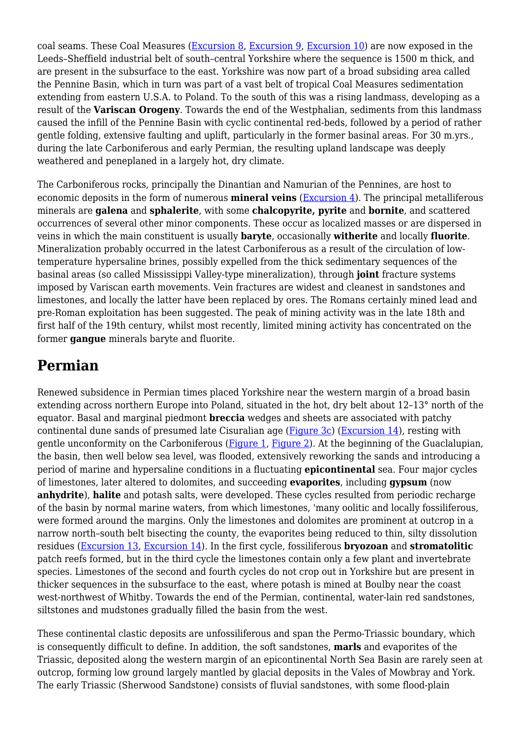coal seams. These Coal Measures [\(Excursion 8,](http://earthwise.bgs.ac.uk/index.php/Carboniferous_(Namurian_and_Westphalian)_of_the_Cliviger_Valley,_Todmorden_-_an_excursion) [Excursion 9,](http://earthwise.bgs.ac.uk/index.php/Upper_Carboniferous_of_the_Halifax_area_-_an_excursion) [Excursion 10\)](http://earthwise.bgs.ac.uk/index.php/Middle_and_Upper_Carboniferous_rocks_(Millstone_Grit_and_Coal_Measures)_of_the_Sheffield_region_-_an_excursion) are now exposed in the Leeds–Sheffield industrial belt of south–central Yorkshire where the sequence is 1500 m thick, and are present in the subsurface to the east. Yorkshire was now part of a broad subsiding area called the Pennine Basin, which in turn was part of a vast belt of tropical Coal Measures sedimentation extending from eastern U.S.A. to Poland. To the south of this was a rising landmass, developing as a result of the **Variscan Orogeny**. Towards the end of the Westphalian, sediments from this landmass caused the infill of the Pennine Basin with cyclic continental red-beds, followed by a period of rather gentle folding, extensive faulting and uplift, particularly in the former basinal areas. For 30 m.yrs., during the late Carboniferous and early Permian, the resulting upland landscape was deeply weathered and peneplaned in a largely hot, dry climate.

The Carboniferous rocks, principally the Dinantian and Namurian of the Pennines, are host to economic deposits in the form of numerous **mineral veins** [\(Excursion 4\)](http://earthwise.bgs.ac.uk/index.php/North_Swaledale_Mineral_Belt_around_Gunnerside_-_an_excursion). The principal metalliferous minerals are **galena** and **sphalerite**, with some **chalcopyrite, pyrite** and **bornite**, and scattered occurrences of several other minor components. These occur as localized masses or are dispersed in veins in which the main constituent is usually **baryte**, occasionally **witherite** and locally **fluorite**. Mineralization probably occurred in the latest Carboniferous as a result of the circulation of lowtemperature hypersaline brines, possibly expelled from the thick sedimentary sequences of the basinal areas (so called Mississippi Valley-type mineralization), through **joint** fracture systems imposed by Variscan earth movements. Vein fractures are widest and cleanest in sandstones and limestones, and locally the latter have been replaced by ores. The Romans certainly mined lead and pre-Roman exploitation has been suggested. The peak of mining activity was in the late 18th and first half of the 19th century, whilst most recently, limited mining activity has concentrated on the former **gangue** minerals baryte and fluorite.

#### **Permian**

Renewed subsidence in Permian times placed Yorkshire near the western margin of a broad basin extending across northern Europe into Poland, situated in the hot, dry belt about 12–13° north of the equator. Basal and marginal piedmont **breccia** wedges and sheets are associated with patchy continental dune sands of presumed late Cisuralian age ([Figure 3c](http://earthwise.bgs.ac.uk/index.php/File:YGS_YORKROCK_FIG_03_00.jpg)) [\(Excursion 14\)](http://earthwise.bgs.ac.uk/index.php/Permian_rocks_of_south-central_Yorkshire_-_an_excursion), resting with gentle unconformity on the Carboniferous [\(Figure 1,](http://earthwise.bgs.ac.uk/index.php/File:YGS_YORKROCK_FIG_01_00.jpg) [Figure 2\)](http://earthwise.bgs.ac.uk/index.php/File:YGS_YORKROCK_FIG_02_00.jpg). At the beginning of the Guaclalupian, the basin, then well below sea level, was flooded, extensively reworking the sands and introducing a period of marine and hypersaline conditions in a fluctuating **epicontinental** sea. Four major cycles of limestones, later altered to dolomites, and succeeding **evaporites**, including **gypsum** (now **anhydrite**), **halite** and potash salts, were developed. These cycles resulted from periodic recharge of the basin by normal marine waters, from which limestones, 'many oolitic and locally fossiliferous, were formed around the margins. Only the limestones and dolomites are prominent at outcrop in a narrow north–south belt bisecting the county, the evaporites being reduced to thin, silty dissolution residues ([Excursion 13,](http://earthwise.bgs.ac.uk/index.php/Permian_and_Carboniferous_rocks_of_Knaresborough_-_an_excursion) [Excursion 14\)](http://earthwise.bgs.ac.uk/index.php/Permian_rocks_of_south-central_Yorkshire_-_an_excursion). In the first cycle, fossiliferous **bryozoan** and **stromatolitic** patch reefs formed, but in the third cycle the limestones contain only a few plant and invertebrate species. Limestones of the second and fourth cycles do not crop out in Yorkshire but are present in thicker sequences in the subsurface to the east, where potash is mined at Boulby near the coast west-northwest of Whitby. Towards the end of the Permian, continental, water-lain red sandstones, siltstones and mudstones gradually filled the basin from the west.

These continental clastic deposits are unfossiliferous and span the Permo-Triassic boundary, which is consequently difficult to define. In addition, the soft sandstones, **marls** and evaporites of the Triassic, deposited along the western margin of an epicontinental North Sea Basin are rarely seen at outcrop, forming low ground largely mantled by glacial deposits in the Vales of Mowbray and York. The early Triassic (Sherwood Sandstone) consists of fluvial sandstones, with some flood-plain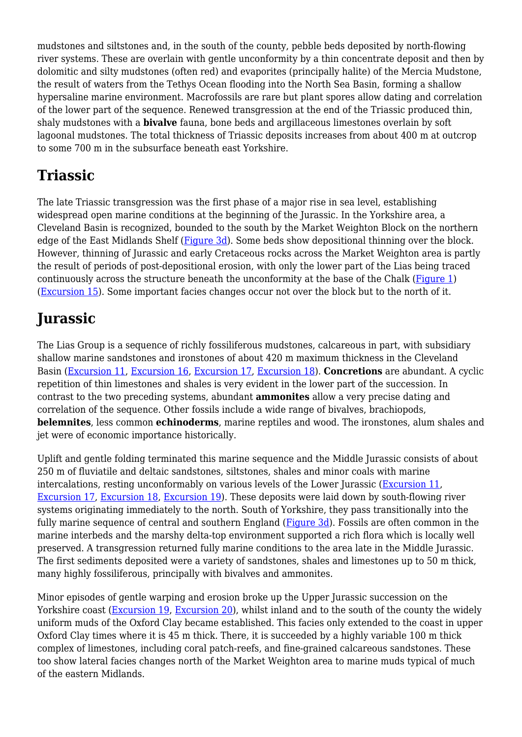mudstones and siltstones and, in the south of the county, pebble beds deposited by north-flowing river systems. These are overlain with gentle unconformity by a thin concentrate deposit and then by dolomitic and silty mudstones (often red) and evaporites (principally halite) of the Mercia Mudstone, the result of waters from the Tethys Ocean flooding into the North Sea Basin, forming a shallow hypersaline marine environment. Macrofossils are rare but plant spores allow dating and correlation of the lower part of the sequence. Renewed transgression at the end of the Triassic produced thin, shaly mudstones with a **bivalve** fauna, bone beds and argillaceous limestones overlain by soft lagoonal mudstones. The total thickness of Triassic deposits increases from about 400 m at outcrop to some 700 m in the subsurface beneath east Yorkshire.

## **Triassic**

The late Triassic transgression was the first phase of a major rise in sea level, establishing widespread open marine conditions at the beginning of the Jurassic. In the Yorkshire area, a Cleveland Basin is recognized, bounded to the south by the Market Weighton Block on the northern edge of the East Midlands Shelf ([Figure 3d](http://earthwise.bgs.ac.uk/index.php/File:YGS_YORKROCK_FIG_03_00.jpg)). Some beds show depositional thinning over the block. However, thinning of Jurassic and early Cretaceous rocks across the Market Weighton area is partly the result of periods of post-depositional erosion, with only the lower part of the Lias being traced continuously across the structure beneath the unconformity at the base of the Chalk [\(Figure 1](http://earthwise.bgs.ac.uk/index.php/File:YGS_YORKROCK_FIG_01_00.jpg)) [\(Excursion 15](http://earthwise.bgs.ac.uk/index.php/Jurassic_and_Cretaceous_rocks_of_the_Market_Weighton_area_-_an_excursion)). Some important facies changes occur not over the block but to the north of it.

## **Jurassic**

The Lias Group is a sequence of richly fossiliferous mudstones, calcareous in part, with subsidiary shallow marine sandstones and ironstones of about 420 m maximum thickness in the Cleveland Basin [\(Excursion 11](http://earthwise.bgs.ac.uk/index.php/Jurassic,_Tertiary_and_Quaternary_around_Great_Ayton_and_Roseberry_Topping,_Cleveland_Hills_-_an_excursion), [Excursion 16](http://earthwise.bgs.ac.uk/index.php/Lower_Jurassic_rocks_between_Staithes_and_Port_Mulgrave_-_an_excursion), [Excursion 17](http://earthwise.bgs.ac.uk/index.php/Lower%E2%80%93Middle_Jurassic_sequences_between_Whitby_and_Saltwick_-_an_excursion), [Excursion 18](http://earthwise.bgs.ac.uk/index.php/Lower_and_Middle_Jurassic_rocks_between_Robin_Hood%27s_Bay_and_Hawsker_Bottoms_-_an_excursion)). **Concretions** are abundant. A cyclic repetition of thin limestones and shales is very evident in the lower part of the succession. In contrast to the two preceding systems, abundant **ammonites** allow a very precise dating and correlation of the sequence. Other fossils include a wide range of bivalves, brachiopods, **belemnites**, less common **echinoderms**, marine reptiles and wood. The ironstones, alum shales and jet were of economic importance historically.

Uplift and gentle folding terminated this marine sequence and the Middle Jurassic consists of about 250 m of fluviatile and deltaic sandstones, siltstones, shales and minor coals with marine intercalations, resting unconformably on various levels of the Lower Jurassic [\(Excursion 11,](http://earthwise.bgs.ac.uk/index.php/Jurassic,_Tertiary_and_Quaternary_around_Great_Ayton_and_Roseberry_Topping,_Cleveland_Hills_-_an_excursion) [Excursion 17](http://earthwise.bgs.ac.uk/index.php/Lower%E2%80%93Middle_Jurassic_sequences_between_Whitby_and_Saltwick_-_an_excursion), [Excursion 18](http://earthwise.bgs.ac.uk/index.php/Lower_and_Middle_Jurassic_rocks_between_Robin_Hood%27s_Bay_and_Hawsker_Bottoms_-_an_excursion), [Excursion 19](http://earthwise.bgs.ac.uk/index.php?title=Middle%E2%80%93Upper_Jurassic_sequence_between_Layton_Bay_and_Yons_Nab_-_an_excursion&action=edit&redlink=1)). These deposits were laid down by south-flowing river systems originating immediately to the north. South of Yorkshire, they pass transitionally into the fully marine sequence of central and southern England [\(Figure 3d\)](http://earthwise.bgs.ac.uk/index.php/File:YGS_YORKROCK_FIG_03_00.jpg). Fossils are often common in the marine interbeds and the marshy delta-top environment supported a rich flora which is locally well preserved. A transgression returned fully marine conditions to the area late in the Middle Jurassic. The first sediments deposited were a variety of sandstones, shales and limestones up to 50 m thick, many highly fossiliferous, principally with bivalves and ammonites.

Minor episodes of gentle warping and erosion broke up the Upper Jurassic succession on the Yorkshire coast ([Excursion 19](http://earthwise.bgs.ac.uk/index.php?title=Middle%E2%80%93Upper_Jurassic_sequence_between_Layton_Bay_and_Yons_Nab_-_an_excursion&action=edit&redlink=1), [Excursion 20](http://earthwise.bgs.ac.uk/index.php/Jurassic,_Cretaceous_and_Quaternary_rocks_of_Filey_Bay_and_Speeton_-_an_excursion)), whilst inland and to the south of the county the widely uniform muds of the Oxford Clay became established. This facies only extended to the coast in upper Oxford Clay times where it is 45 m thick. There, it is succeeded by a highly variable 100 m thick complex of limestones, including coral patch-reefs, and fine-grained calcareous sandstones. These too show lateral facies changes north of the Market Weighton area to marine muds typical of much of the eastern Midlands.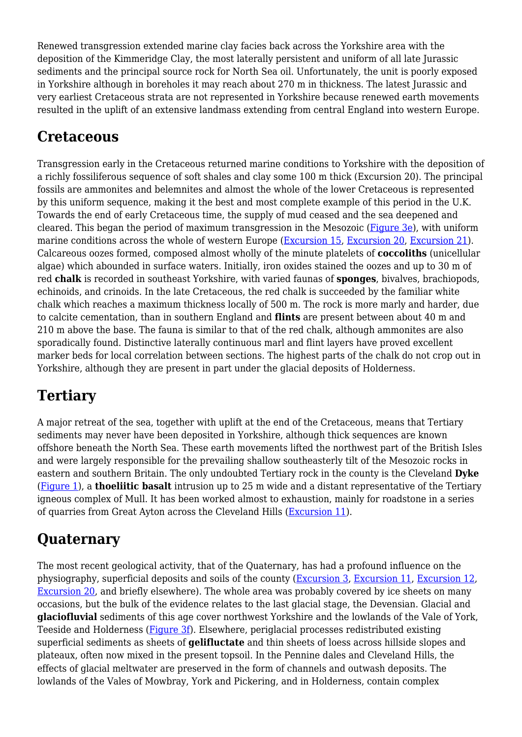Renewed transgression extended marine clay facies back across the Yorkshire area with the deposition of the Kimmeridge Clay, the most laterally persistent and uniform of all late Jurassic sediments and the principal source rock for North Sea oil. Unfortunately, the unit is poorly exposed in Yorkshire although in boreholes it may reach about 270 m in thickness. The latest Jurassic and very earliest Cretaceous strata are not represented in Yorkshire because renewed earth movements resulted in the uplift of an extensive landmass extending from central England into western Europe.

## **Cretaceous**

Transgression early in the Cretaceous returned marine conditions to Yorkshire with the deposition of a richly fossiliferous sequence of soft shales and clay some 100 m thick (Excursion 20). The principal fossils are ammonites and belemnites and almost the whole of the lower Cretaceous is represented by this uniform sequence, making it the best and most complete example of this period in the U.K. Towards the end of early Cretaceous time, the supply of mud ceased and the sea deepened and cleared. This began the period of maximum transgression in the Mesozoic [\(Figure 3e\)](http://earthwise.bgs.ac.uk/index.php/File:YGS_YORKROCK_FIG_03_00.jpg), with uniform marine conditions across the whole of western Europe ([Excursion 15](http://earthwise.bgs.ac.uk/index.php/Jurassic_and_Cretaceous_rocks_of_the_Market_Weighton_area_-_an_excursion), [Excursion 20](http://earthwise.bgs.ac.uk/index.php/Jurassic,_Cretaceous_and_Quaternary_rocks_of_Filey_Bay_and_Speeton_-_an_excursion), [Excursion 21\)](http://earthwise.bgs.ac.uk/index.php/Chalk_of_Flamborough_Head_-_an_excursion). Calcareous oozes formed, composed almost wholly of the minute platelets of **coccoliths** (unicellular algae) which abounded in surface waters. Initially, iron oxides stained the oozes and up to 30 m of red **chalk** is recorded in southeast Yorkshire, with varied faunas of **sponges**, bivalves, brachiopods, echinoids, and crinoids. In the late Cretaceous, the red chalk is succeeded by the familiar white chalk which reaches a maximum thickness locally of 500 m. The rock is more marly and harder, due to calcite cementation, than in southern England and **flints** are present between about 40 m and 210 m above the base. The fauna is similar to that of the red chalk, although ammonites are also sporadically found. Distinctive laterally continuous marl and flint layers have proved excellent marker beds for local correlation between sections. The highest parts of the chalk do not crop out in Yorkshire, although they are present in part under the glacial deposits of Holderness.

## **Tertiary**

A major retreat of the sea, together with uplift at the end of the Cretaceous, means that Tertiary sediments may never have been deposited in Yorkshire, although thick sequences are known offshore beneath the North Sea. These earth movements lifted the northwest part of the British Isles and were largely responsible for the prevailing shallow southeasterly tilt of the Mesozoic rocks in eastern and southern Britain. The only undoubted Tertiary rock in the county is the Cleveland **Dyke** [\(Figure 1](http://earthwise.bgs.ac.uk/index.php/File:YGS_YORKROCK_FIG_01_00.jpg)), a **thoeliitic basalt** intrusion up to 25 m wide and a distant representative of the Tertiary igneous complex of Mull. It has been worked almost to exhaustion, mainly for roadstone in a series of quarries from Great Ayton across the Cleveland Hills [\(Excursion 11\)](http://earthwise.bgs.ac.uk/index.php/Jurassic,_Tertiary_and_Quaternary_around_Great_Ayton_and_Roseberry_Topping,_Cleveland_Hills_-_an_excursion).

## **Quaternary**

The most recent geological activity, that of the Quaternary, has had a profound influence on the physiography, superficial deposits and soils of the county ([Excursion 3](http://earthwise.bgs.ac.uk/index.php/Quaternary_geology_and_geomorphology_of_the_area_around_Kisdon,_upper_Swaledale_-_an_excursion), [Excursion 11](http://earthwise.bgs.ac.uk/index.php/Jurassic,_Tertiary_and_Quaternary_around_Great_Ayton_and_Roseberry_Topping,_Cleveland_Hills_-_an_excursion), [Excursion 12,](http://earthwise.bgs.ac.uk/index.php/Quaternary_features_of_Scugdale,_northwest_Cleveland_Hills_-_an_excursion) [Excursion 20](http://earthwise.bgs.ac.uk/index.php/Jurassic,_Cretaceous_and_Quaternary_rocks_of_Filey_Bay_and_Speeton_-_an_excursion), and briefly elsewhere). The whole area was probably covered by ice sheets on many occasions, but the bulk of the evidence relates to the last glacial stage, the Devensian. Glacial and **glaciofluvial** sediments of this age cover northwest Yorkshire and the lowlands of the Vale of York, Teeside and Holderness [\(Figure 3f\)](http://earthwise.bgs.ac.uk/index.php/File:YGS_YORKROCK_FIG_03_00.jpg). Elsewhere, periglacial processes redistributed existing superficial sediments as sheets of **gelifluctate** and thin sheets of loess across hillside slopes and plateaux, often now mixed in the present topsoil. In the Pennine dales and Cleveland Hills, the effects of glacial meltwater are preserved in the form of channels and outwash deposits. The lowlands of the Vales of Mowbray, York and Pickering, and in Holderness, contain complex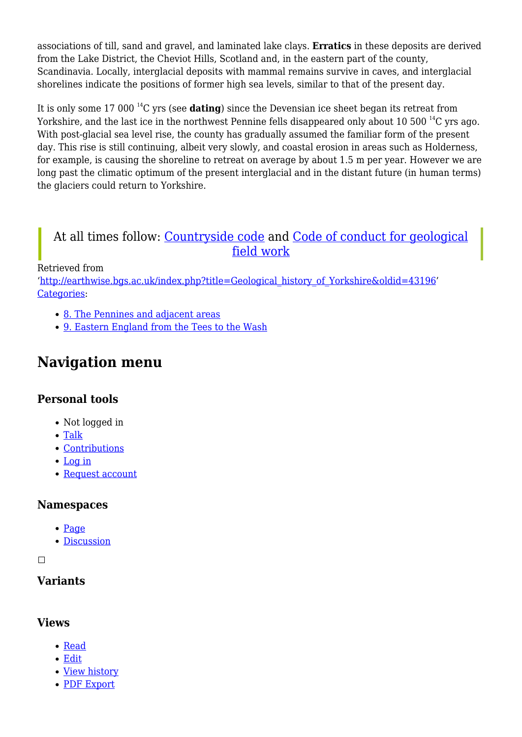associations of till, sand and gravel, and laminated lake clays. **Erratics** in these deposits are derived from the Lake District, the Cheviot Hills, Scotland and, in the eastern part of the county, Scandinavia. Locally, interglacial deposits with mammal remains survive in caves, and interglacial shorelines indicate the positions of former high sea levels, similar to that of the present day.

It is only some 17 000 <sup>14</sup>C yrs (see **dating**) since the Devensian ice sheet began its retreat from Yorkshire, and the last ice in the northwest Pennine fells disappeared only about 10 500<sup>14</sup>C yrs ago. With post-glacial sea level rise, the county has gradually assumed the familiar form of the present day. This rise is still continuing, albeit very slowly, and coastal erosion in areas such as Holderness, for example, is causing the shoreline to retreat on average by about 1.5 m per year. However we are long past the climatic optimum of the present interglacial and in the distant future (in human terms) the glaciers could return to Yorkshire.

#### At all times follow: [Countryside code](https://www.gov.uk/government/publications/the-countryside-code) and [Code of conduct for geological](https://www.scottishgeology.com/where-to-go/geological-fieldwork-code/) [field work](https://www.scottishgeology.com/where-to-go/geological-fieldwork-code/)

Retrieved from

'[http://earthwise.bgs.ac.uk/index.php?title=Geological\\_history\\_of\\_Yorkshire&oldid=43196'](http://earthwise.bgs.ac.uk/index.php?title=Geological_history_of_Yorkshire&oldid=43196) [Categories:](http://earthwise.bgs.ac.uk/index.php/Special:Categories)

- [8. The Pennines and adjacent areas](http://earthwise.bgs.ac.uk/index.php/Category:8._The_Pennines_and_adjacent_areas)
- [9. Eastern England from the Tees to the Wash](http://earthwise.bgs.ac.uk/index.php/Category:9._Eastern_England_from_the_Tees_to_the_Wash)

## **Navigation menu**

#### **Personal tools**

- Not logged in
- [Talk](http://earthwise.bgs.ac.uk/index.php/Special:MyTalk)
- [Contributions](http://earthwise.bgs.ac.uk/index.php/Special:MyContributions)
- [Log in](http://earthwise.bgs.ac.uk/index.php?title=Special:UserLogin&returnto=Geological+history+of+Yorkshire&returntoquery=action%3Dmpdf)
- [Request account](http://earthwise.bgs.ac.uk/index.php/Special:RequestAccount)

#### **Namespaces**

- [Page](http://earthwise.bgs.ac.uk/index.php/Geological_history_of_Yorkshire)
- [Discussion](http://earthwise.bgs.ac.uk/index.php?title=Talk:Geological_history_of_Yorkshire&action=edit&redlink=1)

 $\Box$ 

#### **Variants**

#### **Views**

- [Read](http://earthwise.bgs.ac.uk/index.php/Geological_history_of_Yorkshire)
- [Edit](http://earthwise.bgs.ac.uk/index.php?title=Geological_history_of_Yorkshire&action=edit)
- [View history](http://earthwise.bgs.ac.uk/index.php?title=Geological_history_of_Yorkshire&action=history)
- [PDF Export](http://earthwise.bgs.ac.uk/index.php?title=Geological_history_of_Yorkshire&action=mpdf)